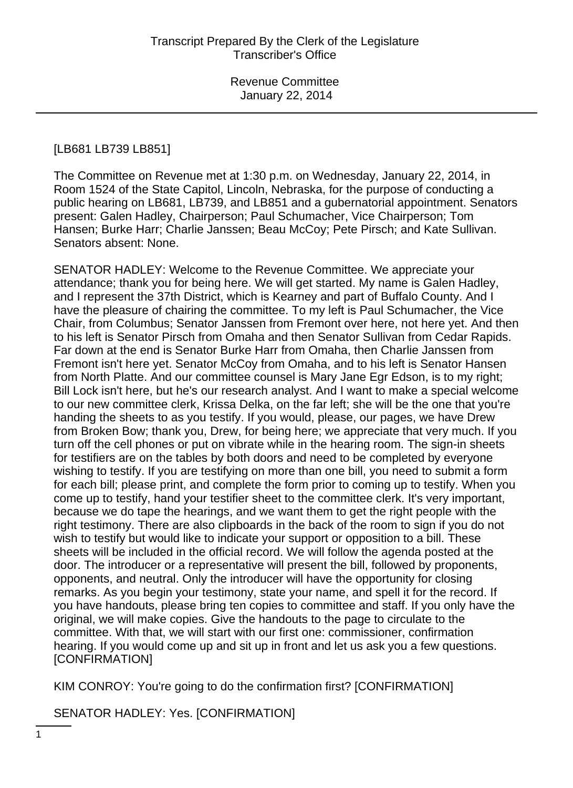### [LB681 LB739 LB851]

The Committee on Revenue met at 1:30 p.m. on Wednesday, January 22, 2014, in Room 1524 of the State Capitol, Lincoln, Nebraska, for the purpose of conducting a public hearing on LB681, LB739, and LB851 and a gubernatorial appointment. Senators present: Galen Hadley, Chairperson; Paul Schumacher, Vice Chairperson; Tom Hansen; Burke Harr; Charlie Janssen; Beau McCoy; Pete Pirsch; and Kate Sullivan. Senators absent: None.

SENATOR HADLEY: Welcome to the Revenue Committee. We appreciate your attendance; thank you for being here. We will get started. My name is Galen Hadley, and I represent the 37th District, which is Kearney and part of Buffalo County. And I have the pleasure of chairing the committee. To my left is Paul Schumacher, the Vice Chair, from Columbus; Senator Janssen from Fremont over here, not here yet. And then to his left is Senator Pirsch from Omaha and then Senator Sullivan from Cedar Rapids. Far down at the end is Senator Burke Harr from Omaha, then Charlie Janssen from Fremont isn't here yet. Senator McCoy from Omaha, and to his left is Senator Hansen from North Platte. And our committee counsel is Mary Jane Egr Edson, is to my right; Bill Lock isn't here, but he's our research analyst. And I want to make a special welcome to our new committee clerk, Krissa Delka, on the far left; she will be the one that you're handing the sheets to as you testify. If you would, please, our pages, we have Drew from Broken Bow; thank you, Drew, for being here; we appreciate that very much. If you turn off the cell phones or put on vibrate while in the hearing room. The sign-in sheets for testifiers are on the tables by both doors and need to be completed by everyone wishing to testify. If you are testifying on more than one bill, you need to submit a form for each bill; please print, and complete the form prior to coming up to testify. When you come up to testify, hand your testifier sheet to the committee clerk. It's very important, because we do tape the hearings, and we want them to get the right people with the right testimony. There are also clipboards in the back of the room to sign if you do not wish to testify but would like to indicate your support or opposition to a bill. These sheets will be included in the official record. We will follow the agenda posted at the door. The introducer or a representative will present the bill, followed by proponents, opponents, and neutral. Only the introducer will have the opportunity for closing remarks. As you begin your testimony, state your name, and spell it for the record. If you have handouts, please bring ten copies to committee and staff. If you only have the original, we will make copies. Give the handouts to the page to circulate to the committee. With that, we will start with our first one: commissioner, confirmation hearing. If you would come up and sit up in front and let us ask you a few questions. [CONFIRMATION]

KIM CONROY: You're going to do the confirmation first? [CONFIRMATION]

SENATOR HADLEY: Yes. [CONFIRMATION]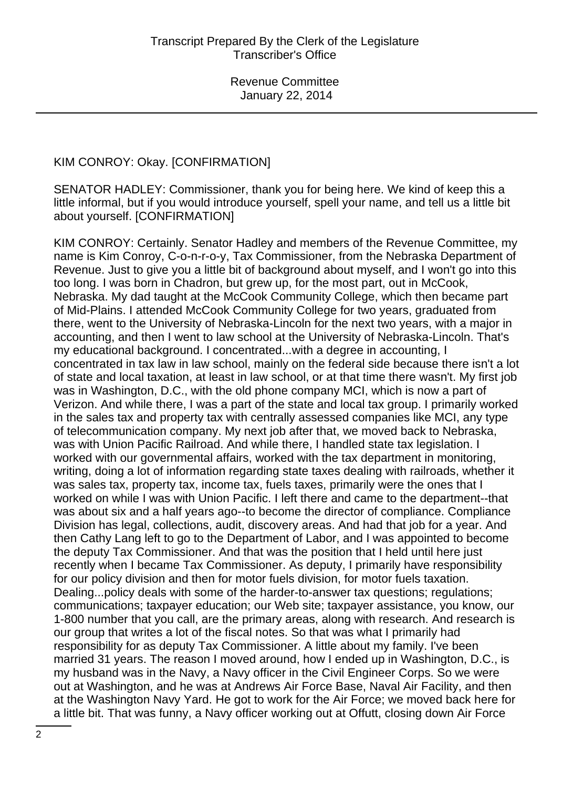# KIM CONROY: Okay. [CONFIRMATION]

SENATOR HADLEY: Commissioner, thank you for being here. We kind of keep this a little informal, but if you would introduce yourself, spell your name, and tell us a little bit about yourself. [CONFIRMATION]

KIM CONROY: Certainly. Senator Hadley and members of the Revenue Committee, my name is Kim Conroy, C-o-n-r-o-y, Tax Commissioner, from the Nebraska Department of Revenue. Just to give you a little bit of background about myself, and I won't go into this too long. I was born in Chadron, but grew up, for the most part, out in McCook, Nebraska. My dad taught at the McCook Community College, which then became part of Mid-Plains. I attended McCook Community College for two years, graduated from there, went to the University of Nebraska-Lincoln for the next two years, with a major in accounting, and then I went to law school at the University of Nebraska-Lincoln. That's my educational background. I concentrated...with a degree in accounting, I concentrated in tax law in law school, mainly on the federal side because there isn't a lot of state and local taxation, at least in law school, or at that time there wasn't. My first job was in Washington, D.C., with the old phone company MCI, which is now a part of Verizon. And while there, I was a part of the state and local tax group. I primarily worked in the sales tax and property tax with centrally assessed companies like MCI, any type of telecommunication company. My next job after that, we moved back to Nebraska, was with Union Pacific Railroad. And while there, I handled state tax legislation. I worked with our governmental affairs, worked with the tax department in monitoring, writing, doing a lot of information regarding state taxes dealing with railroads, whether it was sales tax, property tax, income tax, fuels taxes, primarily were the ones that I worked on while I was with Union Pacific. I left there and came to the department--that was about six and a half years ago--to become the director of compliance. Compliance Division has legal, collections, audit, discovery areas. And had that job for a year. And then Cathy Lang left to go to the Department of Labor, and I was appointed to become the deputy Tax Commissioner. And that was the position that I held until here just recently when I became Tax Commissioner. As deputy, I primarily have responsibility for our policy division and then for motor fuels division, for motor fuels taxation. Dealing...policy deals with some of the harder-to-answer tax questions; regulations; communications; taxpayer education; our Web site; taxpayer assistance, you know, our 1-800 number that you call, are the primary areas, along with research. And research is our group that writes a lot of the fiscal notes. So that was what I primarily had responsibility for as deputy Tax Commissioner. A little about my family. I've been married 31 years. The reason I moved around, how I ended up in Washington, D.C., is my husband was in the Navy, a Navy officer in the Civil Engineer Corps. So we were out at Washington, and he was at Andrews Air Force Base, Naval Air Facility, and then at the Washington Navy Yard. He got to work for the Air Force; we moved back here for a little bit. That was funny, a Navy officer working out at Offutt, closing down Air Force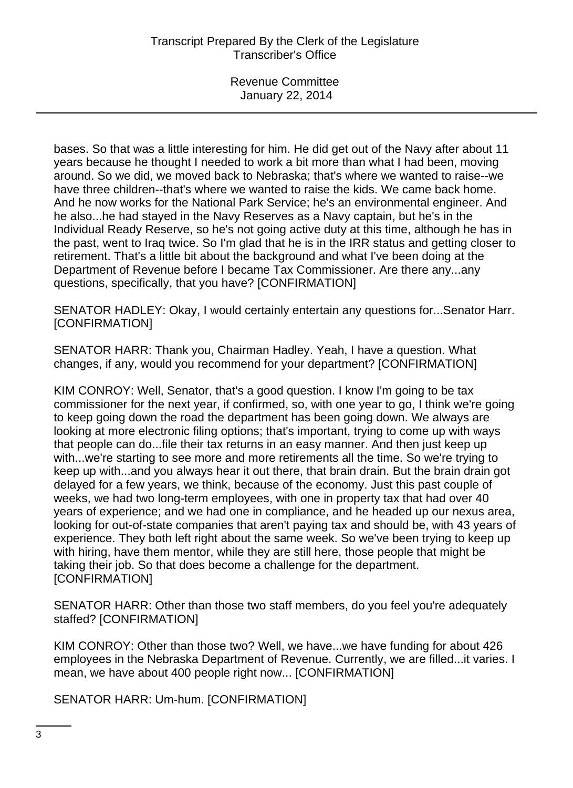bases. So that was a little interesting for him. He did get out of the Navy after about 11 years because he thought I needed to work a bit more than what I had been, moving around. So we did, we moved back to Nebraska; that's where we wanted to raise--we have three children--that's where we wanted to raise the kids. We came back home. And he now works for the National Park Service; he's an environmental engineer. And he also...he had stayed in the Navy Reserves as a Navy captain, but he's in the Individual Ready Reserve, so he's not going active duty at this time, although he has in the past, went to Iraq twice. So I'm glad that he is in the IRR status and getting closer to retirement. That's a little bit about the background and what I've been doing at the Department of Revenue before I became Tax Commissioner. Are there any...any questions, specifically, that you have? [CONFIRMATION]

SENATOR HADLEY: Okay, I would certainly entertain any questions for...Senator Harr. [CONFIRMATION]

SENATOR HARR: Thank you, Chairman Hadley. Yeah, I have a question. What changes, if any, would you recommend for your department? [CONFIRMATION]

KIM CONROY: Well, Senator, that's a good question. I know I'm going to be tax commissioner for the next year, if confirmed, so, with one year to go, I think we're going to keep going down the road the department has been going down. We always are looking at more electronic filing options; that's important, trying to come up with ways that people can do...file their tax returns in an easy manner. And then just keep up with...we're starting to see more and more retirements all the time. So we're trying to keep up with...and you always hear it out there, that brain drain. But the brain drain got delayed for a few years, we think, because of the economy. Just this past couple of weeks, we had two long-term employees, with one in property tax that had over 40 years of experience; and we had one in compliance, and he headed up our nexus area, looking for out-of-state companies that aren't paying tax and should be, with 43 years of experience. They both left right about the same week. So we've been trying to keep up with hiring, have them mentor, while they are still here, those people that might be taking their job. So that does become a challenge for the department. [CONFIRMATION]

SENATOR HARR: Other than those two staff members, do you feel you're adequately staffed? [CONFIRMATION]

KIM CONROY: Other than those two? Well, we have...we have funding for about 426 employees in the Nebraska Department of Revenue. Currently, we are filled...it varies. I mean, we have about 400 people right now... [CONFIRMATION]

SENATOR HARR: Um-hum. [CONFIRMATION]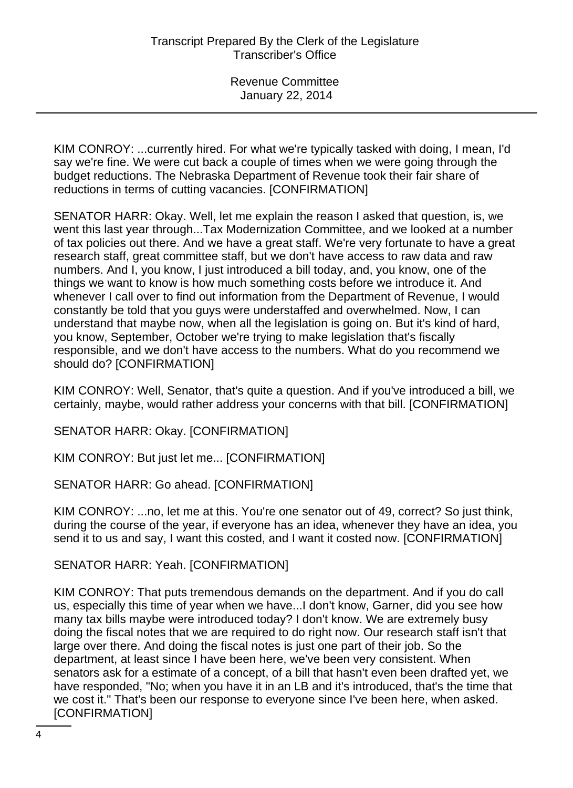KIM CONROY: ...currently hired. For what we're typically tasked with doing, I mean, I'd say we're fine. We were cut back a couple of times when we were going through the budget reductions. The Nebraska Department of Revenue took their fair share of reductions in terms of cutting vacancies. [CONFIRMATION]

SENATOR HARR: Okay. Well, let me explain the reason I asked that question, is, we went this last year through...Tax Modernization Committee, and we looked at a number of tax policies out there. And we have a great staff. We're very fortunate to have a great research staff, great committee staff, but we don't have access to raw data and raw numbers. And I, you know, I just introduced a bill today, and, you know, one of the things we want to know is how much something costs before we introduce it. And whenever I call over to find out information from the Department of Revenue, I would constantly be told that you guys were understaffed and overwhelmed. Now, I can understand that maybe now, when all the legislation is going on. But it's kind of hard, you know, September, October we're trying to make legislation that's fiscally responsible, and we don't have access to the numbers. What do you recommend we should do? [CONFIRMATION]

KIM CONROY: Well, Senator, that's quite a question. And if you've introduced a bill, we certainly, maybe, would rather address your concerns with that bill. [CONFIRMATION]

SENATOR HARR: Okay. [CONFIRMATION]

KIM CONROY: But just let me... [CONFIRMATION]

SENATOR HARR: Go ahead. [CONFIRMATION]

KIM CONROY: ...no, let me at this. You're one senator out of 49, correct? So just think, during the course of the year, if everyone has an idea, whenever they have an idea, you send it to us and say, I want this costed, and I want it costed now. [CONFIRMATION]

SENATOR HARR: Yeah. [CONFIRMATION]

KIM CONROY: That puts tremendous demands on the department. And if you do call us, especially this time of year when we have...I don't know, Garner, did you see how many tax bills maybe were introduced today? I don't know. We are extremely busy doing the fiscal notes that we are required to do right now. Our research staff isn't that large over there. And doing the fiscal notes is just one part of their job. So the department, at least since I have been here, we've been very consistent. When senators ask for a estimate of a concept, of a bill that hasn't even been drafted yet, we have responded, "No; when you have it in an LB and it's introduced, that's the time that we cost it." That's been our response to everyone since I've been here, when asked. [CONFIRMATION]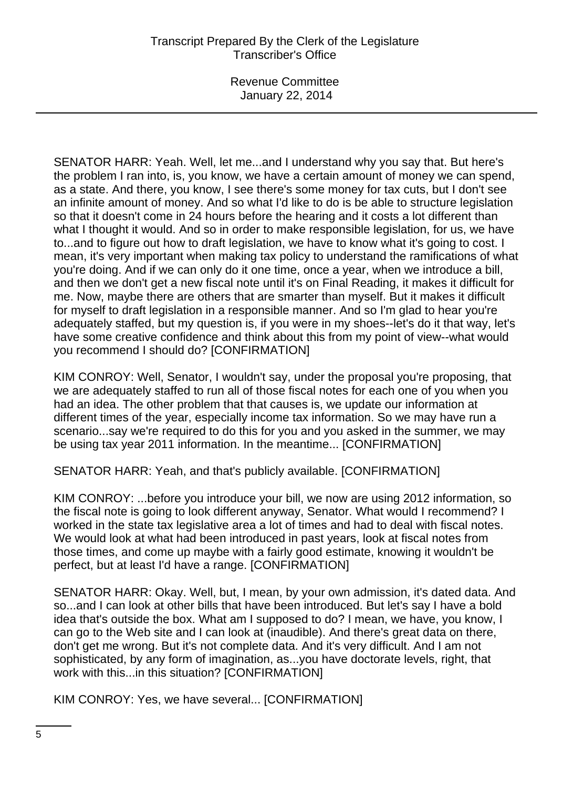# Transcript Prepared By the Clerk of the Legislature Transcriber's Office

Revenue Committee January 22, 2014

SENATOR HARR: Yeah. Well, let me...and I understand why you say that. But here's the problem I ran into, is, you know, we have a certain amount of money we can spend, as a state. And there, you know, I see there's some money for tax cuts, but I don't see an infinite amount of money. And so what I'd like to do is be able to structure legislation so that it doesn't come in 24 hours before the hearing and it costs a lot different than what I thought it would. And so in order to make responsible legislation, for us, we have to...and to figure out how to draft legislation, we have to know what it's going to cost. I mean, it's very important when making tax policy to understand the ramifications of what you're doing. And if we can only do it one time, once a year, when we introduce a bill, and then we don't get a new fiscal note until it's on Final Reading, it makes it difficult for me. Now, maybe there are others that are smarter than myself. But it makes it difficult for myself to draft legislation in a responsible manner. And so I'm glad to hear you're adequately staffed, but my question is, if you were in my shoes--let's do it that way, let's have some creative confidence and think about this from my point of view--what would you recommend I should do? [CONFIRMATION]

KIM CONROY: Well, Senator, I wouldn't say, under the proposal you're proposing, that we are adequately staffed to run all of those fiscal notes for each one of you when you had an idea. The other problem that that causes is, we update our information at different times of the year, especially income tax information. So we may have run a scenario...say we're required to do this for you and you asked in the summer, we may be using tax year 2011 information. In the meantime... [CONFIRMATION]

SENATOR HARR: Yeah, and that's publicly available. [CONFIRMATION]

KIM CONROY: ...before you introduce your bill, we now are using 2012 information, so the fiscal note is going to look different anyway, Senator. What would I recommend? I worked in the state tax legislative area a lot of times and had to deal with fiscal notes. We would look at what had been introduced in past years, look at fiscal notes from those times, and come up maybe with a fairly good estimate, knowing it wouldn't be perfect, but at least I'd have a range. [CONFIRMATION]

SENATOR HARR: Okay. Well, but, I mean, by your own admission, it's dated data. And so...and I can look at other bills that have been introduced. But let's say I have a bold idea that's outside the box. What am I supposed to do? I mean, we have, you know, I can go to the Web site and I can look at (inaudible). And there's great data on there, don't get me wrong. But it's not complete data. And it's very difficult. And I am not sophisticated, by any form of imagination, as...you have doctorate levels, right, that work with this...in this situation? [CONFIRMATION]

KIM CONROY: Yes, we have several... [CONFIRMATION]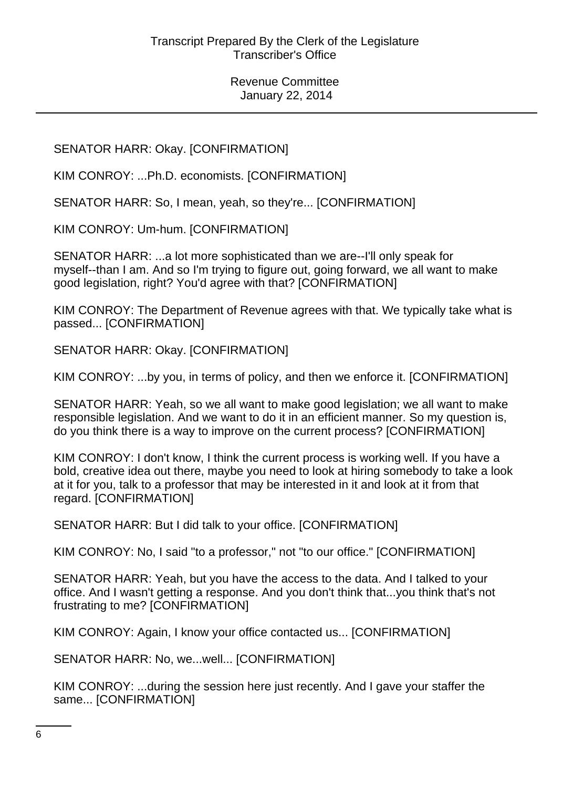SENATOR HARR: Okay. [CONFIRMATION]

KIM CONROY: ...Ph.D. economists. [CONFIRMATION]

SENATOR HARR: So, I mean, yeah, so they're... [CONFIRMATION]

KIM CONROY: Um-hum. [CONFIRMATION]

SENATOR HARR: ...a lot more sophisticated than we are--I'll only speak for myself--than I am. And so I'm trying to figure out, going forward, we all want to make good legislation, right? You'd agree with that? [CONFIRMATION]

KIM CONROY: The Department of Revenue agrees with that. We typically take what is passed... [CONFIRMATION]

SENATOR HARR: Okay. [CONFIRMATION]

KIM CONROY: ...by you, in terms of policy, and then we enforce it. [CONFIRMATION]

SENATOR HARR: Yeah, so we all want to make good legislation; we all want to make responsible legislation. And we want to do it in an efficient manner. So my question is, do you think there is a way to improve on the current process? [CONFIRMATION]

KIM CONROY: I don't know, I think the current process is working well. If you have a bold, creative idea out there, maybe you need to look at hiring somebody to take a look at it for you, talk to a professor that may be interested in it and look at it from that regard. [CONFIRMATION]

SENATOR HARR: But I did talk to your office. [CONFIRMATION]

KIM CONROY: No, I said "to a professor," not "to our office." [CONFIRMATION]

SENATOR HARR: Yeah, but you have the access to the data. And I talked to your office. And I wasn't getting a response. And you don't think that...you think that's not frustrating to me? [CONFIRMATION]

KIM CONROY: Again, I know your office contacted us... [CONFIRMATION]

SENATOR HARR: No, we...well... [CONFIRMATION]

KIM CONROY: ...during the session here just recently. And I gave your staffer the same... [CONFIRMATION]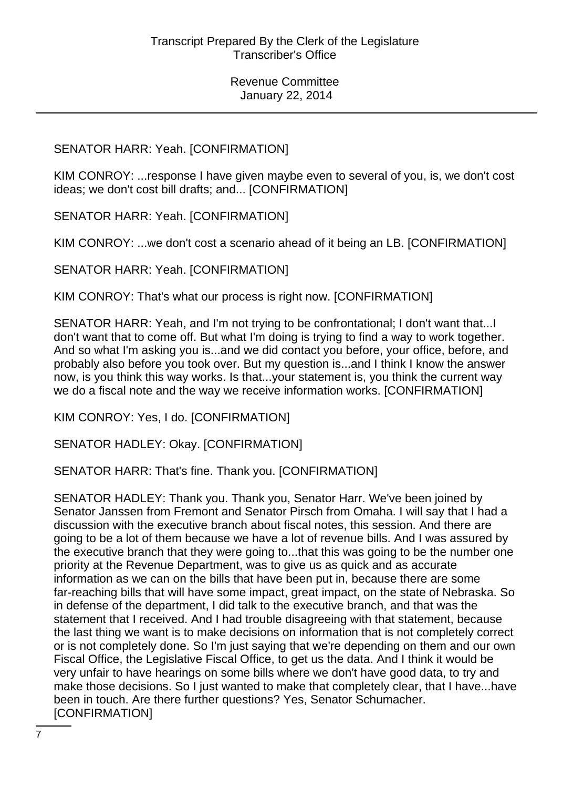## SENATOR HARR: Yeah. [CONFIRMATION]

KIM CONROY: ...response I have given maybe even to several of you, is, we don't cost ideas; we don't cost bill drafts; and... [CONFIRMATION]

SENATOR HARR: Yeah. [CONFIRMATION]

KIM CONROY: ...we don't cost a scenario ahead of it being an LB. [CONFIRMATION]

SENATOR HARR: Yeah. [CONFIRMATION]

KIM CONROY: That's what our process is right now. [CONFIRMATION]

SENATOR HARR: Yeah, and I'm not trying to be confrontational; I don't want that...I don't want that to come off. But what I'm doing is trying to find a way to work together. And so what I'm asking you is...and we did contact you before, your office, before, and probably also before you took over. But my question is...and I think I know the answer now, is you think this way works. Is that...your statement is, you think the current way we do a fiscal note and the way we receive information works. [CONFIRMATION]

KIM CONROY: Yes, I do. [CONFIRMATION]

SENATOR HADLEY: Okay. [CONFIRMATION]

SENATOR HARR: That's fine. Thank you. [CONFIRMATION]

SENATOR HADLEY: Thank you. Thank you, Senator Harr. We've been joined by Senator Janssen from Fremont and Senator Pirsch from Omaha. I will say that I had a discussion with the executive branch about fiscal notes, this session. And there are going to be a lot of them because we have a lot of revenue bills. And I was assured by the executive branch that they were going to...that this was going to be the number one priority at the Revenue Department, was to give us as quick and as accurate information as we can on the bills that have been put in, because there are some far-reaching bills that will have some impact, great impact, on the state of Nebraska. So in defense of the department, I did talk to the executive branch, and that was the statement that I received. And I had trouble disagreeing with that statement, because the last thing we want is to make decisions on information that is not completely correct or is not completely done. So I'm just saying that we're depending on them and our own Fiscal Office, the Legislative Fiscal Office, to get us the data. And I think it would be very unfair to have hearings on some bills where we don't have good data, to try and make those decisions. So I just wanted to make that completely clear, that I have...have been in touch. Are there further questions? Yes, Senator Schumacher. [CONFIRMATION]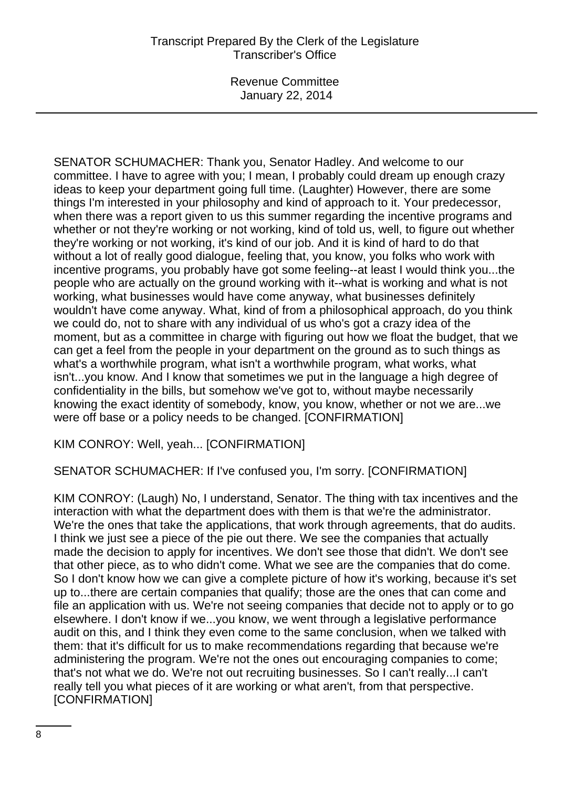SENATOR SCHUMACHER: Thank you, Senator Hadley. And welcome to our committee. I have to agree with you; I mean, I probably could dream up enough crazy ideas to keep your department going full time. (Laughter) However, there are some things I'm interested in your philosophy and kind of approach to it. Your predecessor, when there was a report given to us this summer regarding the incentive programs and whether or not they're working or not working, kind of told us, well, to figure out whether they're working or not working, it's kind of our job. And it is kind of hard to do that without a lot of really good dialogue, feeling that, you know, you folks who work with incentive programs, you probably have got some feeling--at least I would think you...the people who are actually on the ground working with it--what is working and what is not working, what businesses would have come anyway, what businesses definitely wouldn't have come anyway. What, kind of from a philosophical approach, do you think we could do, not to share with any individual of us who's got a crazy idea of the moment, but as a committee in charge with figuring out how we float the budget, that we can get a feel from the people in your department on the ground as to such things as what's a worthwhile program, what isn't a worthwhile program, what works, what isn't...you know. And I know that sometimes we put in the language a high degree of confidentiality in the bills, but somehow we've got to, without maybe necessarily knowing the exact identity of somebody, know, you know, whether or not we are...we were off base or a policy needs to be changed. [CONFIRMATION]

KIM CONROY: Well, yeah... [CONFIRMATION]

SENATOR SCHUMACHER: If I've confused you, I'm sorry. [CONFIRMATION]

KIM CONROY: (Laugh) No, I understand, Senator. The thing with tax incentives and the interaction with what the department does with them is that we're the administrator. We're the ones that take the applications, that work through agreements, that do audits. I think we just see a piece of the pie out there. We see the companies that actually made the decision to apply for incentives. We don't see those that didn't. We don't see that other piece, as to who didn't come. What we see are the companies that do come. So I don't know how we can give a complete picture of how it's working, because it's set up to...there are certain companies that qualify; those are the ones that can come and file an application with us. We're not seeing companies that decide not to apply or to go elsewhere. I don't know if we...you know, we went through a legislative performance audit on this, and I think they even come to the same conclusion, when we talked with them: that it's difficult for us to make recommendations regarding that because we're administering the program. We're not the ones out encouraging companies to come; that's not what we do. We're not out recruiting businesses. So I can't really...I can't really tell you what pieces of it are working or what aren't, from that perspective. [CONFIRMATION]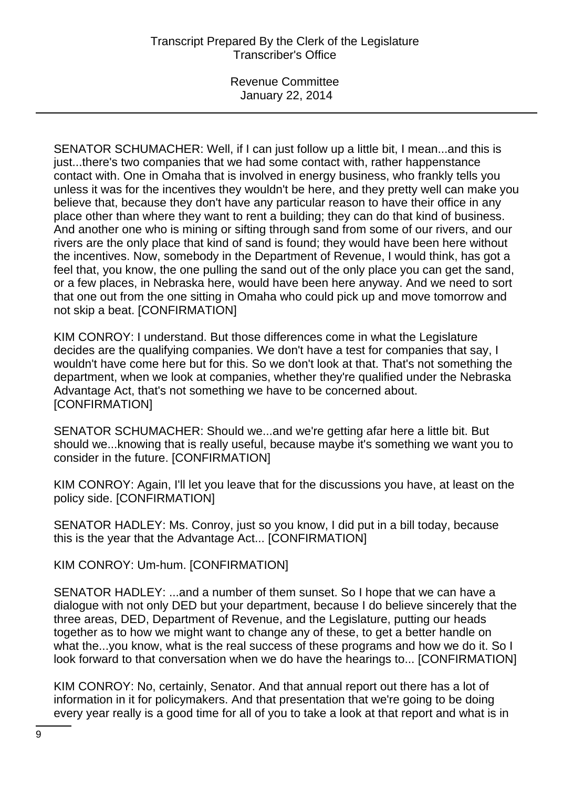SENATOR SCHUMACHER: Well, if I can just follow up a little bit, I mean...and this is just...there's two companies that we had some contact with, rather happenstance contact with. One in Omaha that is involved in energy business, who frankly tells you unless it was for the incentives they wouldn't be here, and they pretty well can make you believe that, because they don't have any particular reason to have their office in any place other than where they want to rent a building; they can do that kind of business. And another one who is mining or sifting through sand from some of our rivers, and our rivers are the only place that kind of sand is found; they would have been here without the incentives. Now, somebody in the Department of Revenue, I would think, has got a feel that, you know, the one pulling the sand out of the only place you can get the sand, or a few places, in Nebraska here, would have been here anyway. And we need to sort that one out from the one sitting in Omaha who could pick up and move tomorrow and not skip a beat. [CONFIRMATION]

KIM CONROY: I understand. But those differences come in what the Legislature decides are the qualifying companies. We don't have a test for companies that say, I wouldn't have come here but for this. So we don't look at that. That's not something the department, when we look at companies, whether they're qualified under the Nebraska Advantage Act, that's not something we have to be concerned about. [CONFIRMATION]

SENATOR SCHUMACHER: Should we...and we're getting afar here a little bit. But should we...knowing that is really useful, because maybe it's something we want you to consider in the future. [CONFIRMATION]

KIM CONROY: Again, I'll let you leave that for the discussions you have, at least on the policy side. [CONFIRMATION]

SENATOR HADLEY: Ms. Conroy, just so you know, I did put in a bill today, because this is the year that the Advantage Act... [CONFIRMATION]

KIM CONROY: Um-hum. [CONFIRMATION]

SENATOR HADLEY: ...and a number of them sunset. So I hope that we can have a dialogue with not only DED but your department, because I do believe sincerely that the three areas, DED, Department of Revenue, and the Legislature, putting our heads together as to how we might want to change any of these, to get a better handle on what the...you know, what is the real success of these programs and how we do it. So I look forward to that conversation when we do have the hearings to... [CONFIRMATION]

KIM CONROY: No, certainly, Senator. And that annual report out there has a lot of information in it for policymakers. And that presentation that we're going to be doing every year really is a good time for all of you to take a look at that report and what is in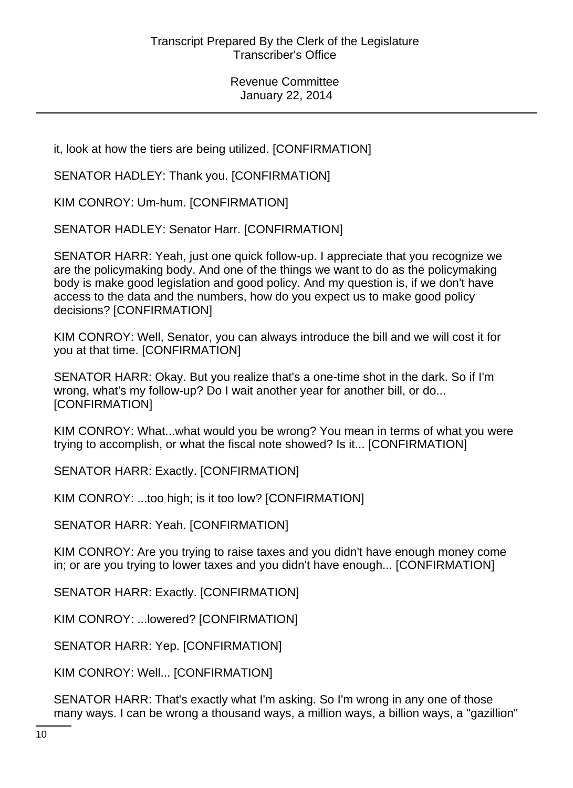it, look at how the tiers are being utilized. [CONFIRMATION]

SENATOR HADLEY: Thank you. [CONFIRMATION]

KIM CONROY: Um-hum. [CONFIRMATION]

SENATOR HADLEY: Senator Harr. [CONFIRMATION]

SENATOR HARR: Yeah, just one quick follow-up. I appreciate that you recognize we are the policymaking body. And one of the things we want to do as the policymaking body is make good legislation and good policy. And my question is, if we don't have access to the data and the numbers, how do you expect us to make good policy decisions? [CONFIRMATION]

KIM CONROY: Well, Senator, you can always introduce the bill and we will cost it for you at that time. [CONFIRMATION]

SENATOR HARR: Okay. But you realize that's a one-time shot in the dark. So if I'm wrong, what's my follow-up? Do I wait another year for another bill, or do... [CONFIRMATION]

KIM CONROY: What...what would you be wrong? You mean in terms of what you were trying to accomplish, or what the fiscal note showed? Is it... [CONFIRMATION]

SENATOR HARR: Exactly. [CONFIRMATION]

KIM CONROY: ...too high; is it too low? [CONFIRMATION]

SENATOR HARR: Yeah. [CONFIRMATION]

KIM CONROY: Are you trying to raise taxes and you didn't have enough money come in; or are you trying to lower taxes and you didn't have enough... [CONFIRMATION]

SENATOR HARR: Exactly. [CONFIRMATION]

KIM CONROY: ...lowered? [CONFIRMATION]

SENATOR HARR: Yep. [CONFIRMATION]

KIM CONROY: Well... [CONFIRMATION]

SENATOR HARR: That's exactly what I'm asking. So I'm wrong in any one of those many ways. I can be wrong a thousand ways, a million ways, a billion ways, a "gazillion"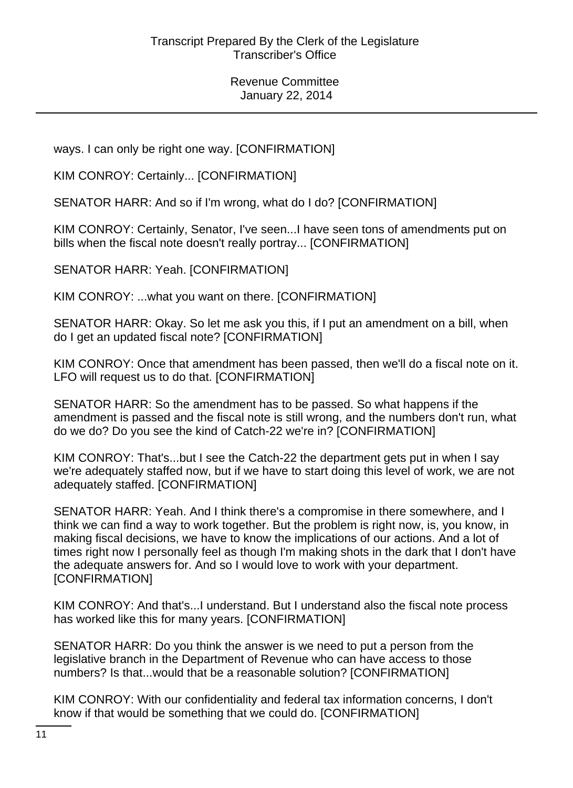ways. I can only be right one way. [CONFIRMATION]

KIM CONROY: Certainly... [CONFIRMATION]

SENATOR HARR: And so if I'm wrong, what do I do? [CONFIRMATION]

KIM CONROY: Certainly, Senator, I've seen...I have seen tons of amendments put on bills when the fiscal note doesn't really portray... [CONFIRMATION]

SENATOR HARR: Yeah. [CONFIRMATION]

KIM CONROY: ...what you want on there. [CONFIRMATION]

SENATOR HARR: Okay. So let me ask you this, if I put an amendment on a bill, when do I get an updated fiscal note? [CONFIRMATION]

KIM CONROY: Once that amendment has been passed, then we'll do a fiscal note on it. LFO will request us to do that. [CONFIRMATION]

SENATOR HARR: So the amendment has to be passed. So what happens if the amendment is passed and the fiscal note is still wrong, and the numbers don't run, what do we do? Do you see the kind of Catch-22 we're in? [CONFIRMATION]

KIM CONROY: That's...but I see the Catch-22 the department gets put in when I say we're adequately staffed now, but if we have to start doing this level of work, we are not adequately staffed. [CONFIRMATION]

SENATOR HARR: Yeah. And I think there's a compromise in there somewhere, and I think we can find a way to work together. But the problem is right now, is, you know, in making fiscal decisions, we have to know the implications of our actions. And a lot of times right now I personally feel as though I'm making shots in the dark that I don't have the adequate answers for. And so I would love to work with your department. [CONFIRMATION]

KIM CONROY: And that's...I understand. But I understand also the fiscal note process has worked like this for many years. [CONFIRMATION]

SENATOR HARR: Do you think the answer is we need to put a person from the legislative branch in the Department of Revenue who can have access to those numbers? Is that...would that be a reasonable solution? [CONFIRMATION]

KIM CONROY: With our confidentiality and federal tax information concerns, I don't know if that would be something that we could do. [CONFIRMATION]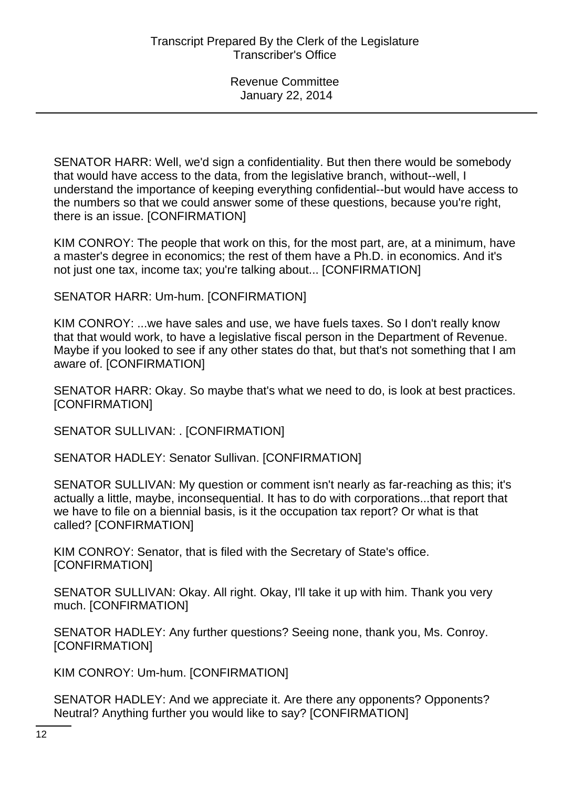SENATOR HARR: Well, we'd sign a confidentiality. But then there would be somebody that would have access to the data, from the legislative branch, without--well, I understand the importance of keeping everything confidential--but would have access to the numbers so that we could answer some of these questions, because you're right, there is an issue. [CONFIRMATION]

KIM CONROY: The people that work on this, for the most part, are, at a minimum, have a master's degree in economics; the rest of them have a Ph.D. in economics. And it's not just one tax, income tax; you're talking about... [CONFIRMATION]

SENATOR HARR: Um-hum. [CONFIRMATION]

KIM CONROY: ...we have sales and use, we have fuels taxes. So I don't really know that that would work, to have a legislative fiscal person in the Department of Revenue. Maybe if you looked to see if any other states do that, but that's not something that I am aware of. [CONFIRMATION]

SENATOR HARR: Okay. So maybe that's what we need to do, is look at best practices. [CONFIRMATION]

SENATOR SULLIVAN: . [CONFIRMATION]

SENATOR HADLEY: Senator Sullivan. [CONFIRMATION]

SENATOR SULLIVAN: My question or comment isn't nearly as far-reaching as this; it's actually a little, maybe, inconsequential. It has to do with corporations...that report that we have to file on a biennial basis, is it the occupation tax report? Or what is that called? [CONFIRMATION]

KIM CONROY: Senator, that is filed with the Secretary of State's office. [CONFIRMATION]

SENATOR SULLIVAN: Okay. All right. Okay, I'll take it up with him. Thank you very much. [CONFIRMATION]

SENATOR HADLEY: Any further questions? Seeing none, thank you, Ms. Conroy. [CONFIRMATION]

KIM CONROY: Um-hum. [CONFIRMATION]

SENATOR HADLEY: And we appreciate it. Are there any opponents? Opponents? Neutral? Anything further you would like to say? [CONFIRMATION]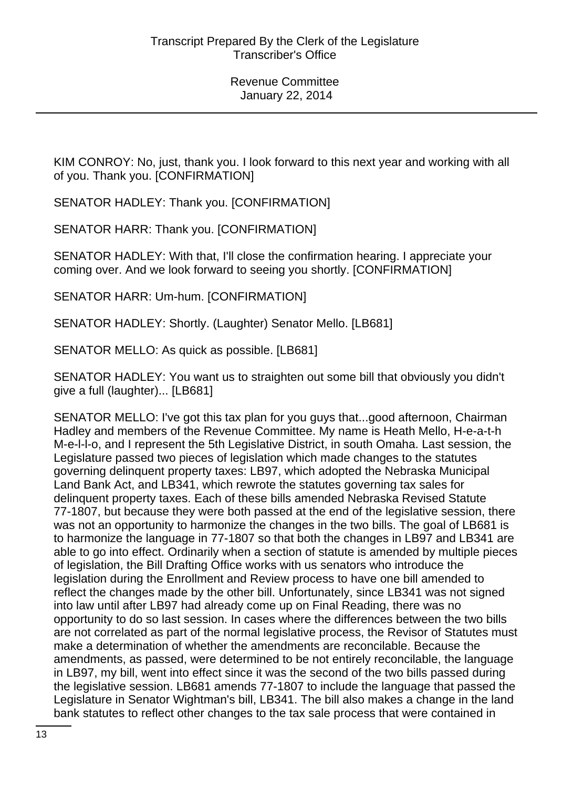KIM CONROY: No, just, thank you. I look forward to this next year and working with all of you. Thank you. [CONFIRMATION]

SENATOR HADLEY: Thank you. [CONFIRMATION]

SENATOR HARR: Thank you. [CONFIRMATION]

SENATOR HADLEY: With that, I'll close the confirmation hearing. I appreciate your coming over. And we look forward to seeing you shortly. [CONFIRMATION]

SENATOR HARR: Um-hum. [CONFIRMATION]

SENATOR HADLEY: Shortly. (Laughter) Senator Mello. [LB681]

SENATOR MELLO: As quick as possible. [LB681]

SENATOR HADLEY: You want us to straighten out some bill that obviously you didn't give a full (laughter)... [LB681]

SENATOR MELLO: I've got this tax plan for you guys that...good afternoon, Chairman Hadley and members of the Revenue Committee. My name is Heath Mello, H-e-a-t-h M-e-l-l-o, and I represent the 5th Legislative District, in south Omaha. Last session, the Legislature passed two pieces of legislation which made changes to the statutes governing delinquent property taxes: LB97, which adopted the Nebraska Municipal Land Bank Act, and LB341, which rewrote the statutes governing tax sales for delinquent property taxes. Each of these bills amended Nebraska Revised Statute 77-1807, but because they were both passed at the end of the legislative session, there was not an opportunity to harmonize the changes in the two bills. The goal of LB681 is to harmonize the language in 77-1807 so that both the changes in LB97 and LB341 are able to go into effect. Ordinarily when a section of statute is amended by multiple pieces of legislation, the Bill Drafting Office works with us senators who introduce the legislation during the Enrollment and Review process to have one bill amended to reflect the changes made by the other bill. Unfortunately, since LB341 was not signed into law until after LB97 had already come up on Final Reading, there was no opportunity to do so last session. In cases where the differences between the two bills are not correlated as part of the normal legislative process, the Revisor of Statutes must make a determination of whether the amendments are reconcilable. Because the amendments, as passed, were determined to be not entirely reconcilable, the language in LB97, my bill, went into effect since it was the second of the two bills passed during the legislative session. LB681 amends 77-1807 to include the language that passed the Legislature in Senator Wightman's bill, LB341. The bill also makes a change in the land bank statutes to reflect other changes to the tax sale process that were contained in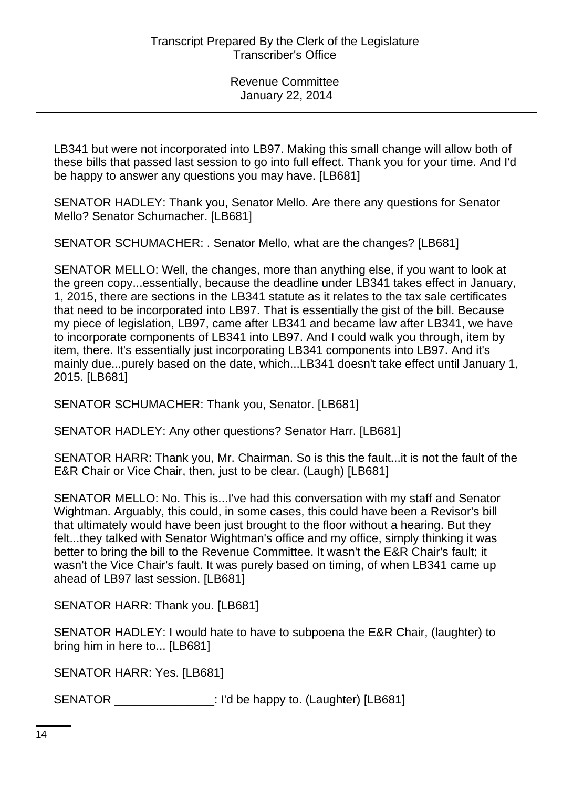LB341 but were not incorporated into LB97. Making this small change will allow both of these bills that passed last session to go into full effect. Thank you for your time. And I'd be happy to answer any questions you may have. [LB681]

SENATOR HADLEY: Thank you, Senator Mello. Are there any questions for Senator Mello? Senator Schumacher. [LB681]

SENATOR SCHUMACHER: . Senator Mello, what are the changes? [LB681]

SENATOR MELLO: Well, the changes, more than anything else, if you want to look at the green copy...essentially, because the deadline under LB341 takes effect in January, 1, 2015, there are sections in the LB341 statute as it relates to the tax sale certificates that need to be incorporated into LB97. That is essentially the gist of the bill. Because my piece of legislation, LB97, came after LB341 and became law after LB341, we have to incorporate components of LB341 into LB97. And I could walk you through, item by item, there. It's essentially just incorporating LB341 components into LB97. And it's mainly due...purely based on the date, which...LB341 doesn't take effect until January 1, 2015. [LB681]

SENATOR SCHUMACHER: Thank you, Senator. [LB681]

SENATOR HADLEY: Any other questions? Senator Harr. [LB681]

SENATOR HARR: Thank you, Mr. Chairman. So is this the fault...it is not the fault of the E&R Chair or Vice Chair, then, just to be clear. (Laugh) [LB681]

SENATOR MELLO: No. This is...I've had this conversation with my staff and Senator Wightman. Arguably, this could, in some cases, this could have been a Revisor's bill that ultimately would have been just brought to the floor without a hearing. But they felt...they talked with Senator Wightman's office and my office, simply thinking it was better to bring the bill to the Revenue Committee. It wasn't the E&R Chair's fault; it wasn't the Vice Chair's fault. It was purely based on timing, of when LB341 came up ahead of LB97 last session. [LB681]

SENATOR HARR: Thank you. [LB681]

| SENATOR HADLEY: I would hate to have to subpoena the E&R Chair, (laughter) to |  |  |  |
|-------------------------------------------------------------------------------|--|--|--|
| bring him in here to [LB681]                                                  |  |  |  |

SENATOR HARR: Yes. [LB681]

SENATOR \_\_\_\_\_\_\_\_\_\_\_\_\_\_\_: I'd be happy to. (Laughter) [LB681]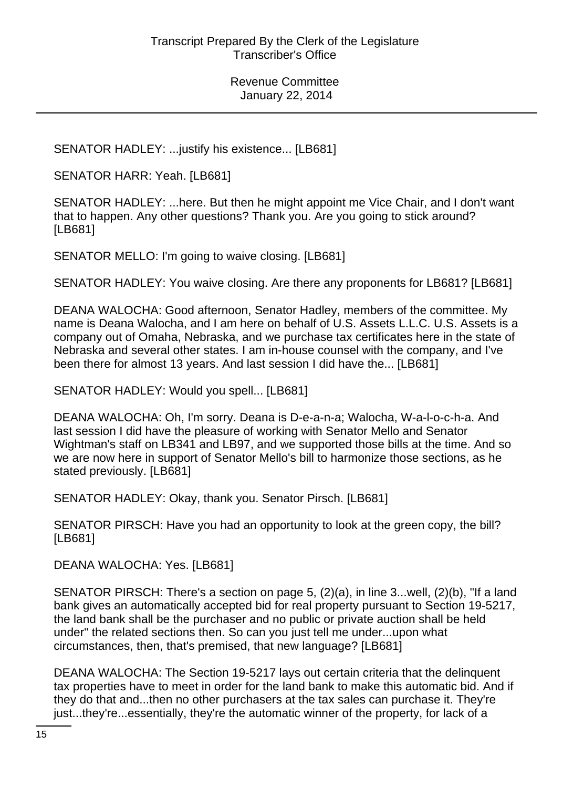SENATOR HADLEY: ...justify his existence... [LB681]

SENATOR HARR: Yeah. [LB681]

SENATOR HADLEY: ...here. But then he might appoint me Vice Chair, and I don't want that to happen. Any other questions? Thank you. Are you going to stick around? [LB681]

SENATOR MELLO: I'm going to waive closing. [LB681]

SENATOR HADLEY: You waive closing. Are there any proponents for LB681? [LB681]

DEANA WALOCHA: Good afternoon, Senator Hadley, members of the committee. My name is Deana Walocha, and I am here on behalf of U.S. Assets L.L.C. U.S. Assets is a company out of Omaha, Nebraska, and we purchase tax certificates here in the state of Nebraska and several other states. I am in-house counsel with the company, and I've been there for almost 13 years. And last session I did have the... [LB681]

SENATOR HADLEY: Would you spell... [LB681]

DEANA WALOCHA: Oh, I'm sorry. Deana is D-e-a-n-a; Walocha, W-a-l-o-c-h-a. And last session I did have the pleasure of working with Senator Mello and Senator Wightman's staff on LB341 and LB97, and we supported those bills at the time. And so we are now here in support of Senator Mello's bill to harmonize those sections, as he stated previously. [LB681]

SENATOR HADLEY: Okay, thank you. Senator Pirsch. [LB681]

SENATOR PIRSCH: Have you had an opportunity to look at the green copy, the bill? [LB681]

DEANA WALOCHA: Yes. [LB681]

SENATOR PIRSCH: There's a section on page 5, (2)(a), in line 3...well, (2)(b), "If a land bank gives an automatically accepted bid for real property pursuant to Section 19-5217, the land bank shall be the purchaser and no public or private auction shall be held under" the related sections then. So can you just tell me under...upon what circumstances, then, that's premised, that new language? [LB681]

DEANA WALOCHA: The Section 19-5217 lays out certain criteria that the delinquent tax properties have to meet in order for the land bank to make this automatic bid. And if they do that and...then no other purchasers at the tax sales can purchase it. They're just...they're...essentially, they're the automatic winner of the property, for lack of a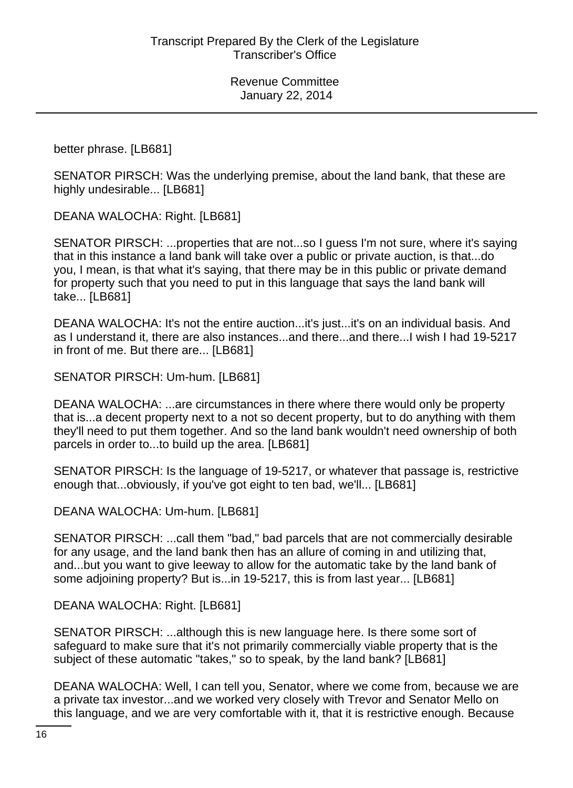better phrase. [LB681]

SENATOR PIRSCH: Was the underlying premise, about the land bank, that these are highly undesirable... [LB681]

DEANA WALOCHA: Right. [LB681]

SENATOR PIRSCH: ...properties that are not...so I guess I'm not sure, where it's saying that in this instance a land bank will take over a public or private auction, is that...do you, I mean, is that what it's saying, that there may be in this public or private demand for property such that you need to put in this language that says the land bank will take... [LB681]

DEANA WALOCHA: It's not the entire auction...it's just...it's on an individual basis. And as I understand it, there are also instances...and there...and there...I wish I had 19-5217 in front of me. But there are... [LB681]

SENATOR PIRSCH: Um-hum. [LB681]

DEANA WALOCHA: ...are circumstances in there where there would only be property that is...a decent property next to a not so decent property, but to do anything with them they'll need to put them together. And so the land bank wouldn't need ownership of both parcels in order to...to build up the area. [LB681]

SENATOR PIRSCH: Is the language of 19-5217, or whatever that passage is, restrictive enough that...obviously, if you've got eight to ten bad, we'll... [LB681]

DEANA WALOCHA: Um-hum. [LB681]

SENATOR PIRSCH: ...call them "bad," bad parcels that are not commercially desirable for any usage, and the land bank then has an allure of coming in and utilizing that, and...but you want to give leeway to allow for the automatic take by the land bank of some adjoining property? But is...in 19-5217, this is from last year... [LB681]

DEANA WALOCHA: Right. [LB681]

SENATOR PIRSCH: ...although this is new language here. Is there some sort of safeguard to make sure that it's not primarily commercially viable property that is the subject of these automatic "takes," so to speak, by the land bank? [LB681]

DEANA WALOCHA: Well, I can tell you, Senator, where we come from, because we are a private tax investor...and we worked very closely with Trevor and Senator Mello on this language, and we are very comfortable with it, that it is restrictive enough. Because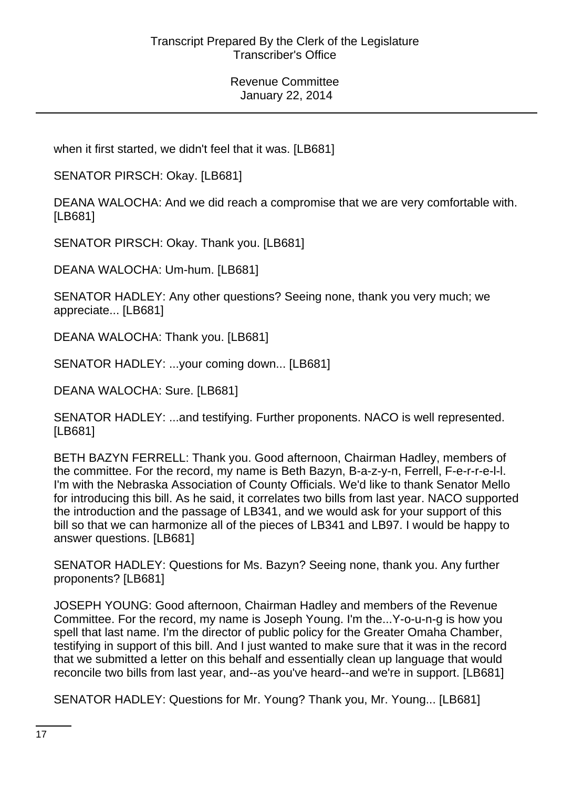when it first started, we didn't feel that it was. [LB681]

SENATOR PIRSCH: Okay. [LB681]

DEANA WALOCHA: And we did reach a compromise that we are very comfortable with. [LB681]

SENATOR PIRSCH: Okay. Thank you. [LB681]

DEANA WALOCHA: Um-hum. [LB681]

SENATOR HADLEY: Any other questions? Seeing none, thank you very much; we appreciate... [LB681]

DEANA WALOCHA: Thank you. [LB681]

SENATOR HADLEY: ...your coming down... [LB681]

DEANA WALOCHA: Sure. [LB681]

SENATOR HADLEY: ...and testifying. Further proponents. NACO is well represented. [LB681]

BETH BAZYN FERRELL: Thank you. Good afternoon, Chairman Hadley, members of the committee. For the record, my name is Beth Bazyn, B-a-z-y-n, Ferrell, F-e-r-r-e-l-l. I'm with the Nebraska Association of County Officials. We'd like to thank Senator Mello for introducing this bill. As he said, it correlates two bills from last year. NACO supported the introduction and the passage of LB341, and we would ask for your support of this bill so that we can harmonize all of the pieces of LB341 and LB97. I would be happy to answer questions. [LB681]

SENATOR HADLEY: Questions for Ms. Bazyn? Seeing none, thank you. Any further proponents? [LB681]

JOSEPH YOUNG: Good afternoon, Chairman Hadley and members of the Revenue Committee. For the record, my name is Joseph Young. I'm the...Y-o-u-n-g is how you spell that last name. I'm the director of public policy for the Greater Omaha Chamber, testifying in support of this bill. And I just wanted to make sure that it was in the record that we submitted a letter on this behalf and essentially clean up language that would reconcile two bills from last year, and--as you've heard--and we're in support. [LB681]

SENATOR HADLEY: Questions for Mr. Young? Thank you, Mr. Young... [LB681]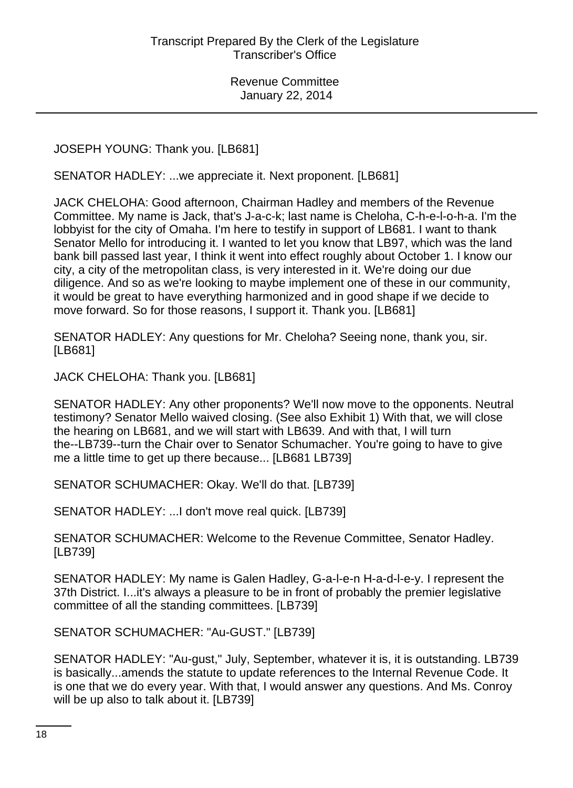JOSEPH YOUNG: Thank you. [LB681]

SENATOR HADLEY: ...we appreciate it. Next proponent. [LB681]

JACK CHELOHA: Good afternoon, Chairman Hadley and members of the Revenue Committee. My name is Jack, that's J-a-c-k; last name is Cheloha, C-h-e-l-o-h-a. I'm the lobbyist for the city of Omaha. I'm here to testify in support of LB681. I want to thank Senator Mello for introducing it. I wanted to let you know that LB97, which was the land bank bill passed last year, I think it went into effect roughly about October 1. I know our city, a city of the metropolitan class, is very interested in it. We're doing our due diligence. And so as we're looking to maybe implement one of these in our community, it would be great to have everything harmonized and in good shape if we decide to move forward. So for those reasons, I support it. Thank you. [LB681]

SENATOR HADLEY: Any questions for Mr. Cheloha? Seeing none, thank you, sir. [LB681]

JACK CHELOHA: Thank you. [LB681]

SENATOR HADLEY: Any other proponents? We'll now move to the opponents. Neutral testimony? Senator Mello waived closing. (See also Exhibit 1) With that, we will close the hearing on LB681, and we will start with LB639. And with that, I will turn the--LB739--turn the Chair over to Senator Schumacher. You're going to have to give me a little time to get up there because... [LB681 LB739]

SENATOR SCHUMACHER: Okay. We'll do that. [LB739]

SENATOR HADLEY: ...I don't move real quick. [LB739]

SENATOR SCHUMACHER: Welcome to the Revenue Committee, Senator Hadley. [LB739]

SENATOR HADLEY: My name is Galen Hadley, G-a-l-e-n H-a-d-l-e-y. I represent the 37th District. I...it's always a pleasure to be in front of probably the premier legislative committee of all the standing committees. [LB739]

SENATOR SCHUMACHER: "Au-GUST." [LB739]

SENATOR HADLEY: "Au-gust," July, September, whatever it is, it is outstanding. LB739 is basically...amends the statute to update references to the Internal Revenue Code. It is one that we do every year. With that, I would answer any questions. And Ms. Conroy will be up also to talk about it. [LB739]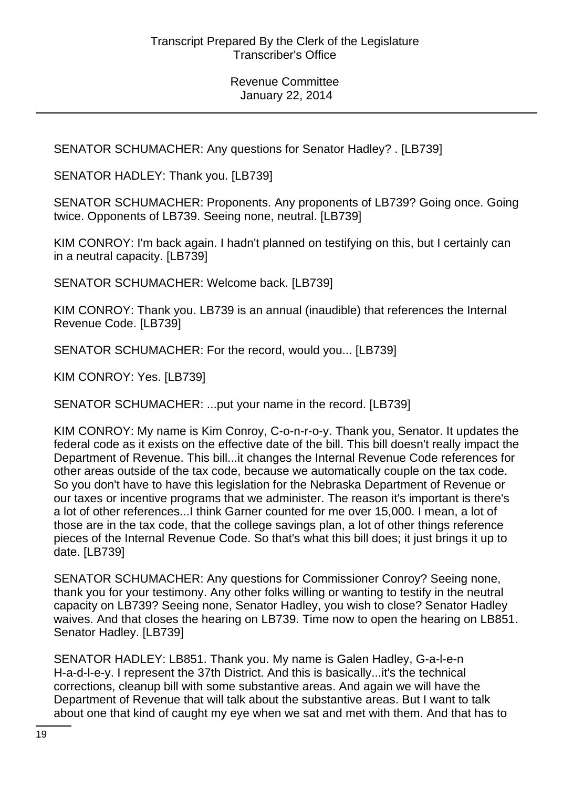SENATOR SCHUMACHER: Any questions for Senator Hadley? . [LB739]

SENATOR HADLEY: Thank you. [LB739]

SENATOR SCHUMACHER: Proponents. Any proponents of LB739? Going once. Going twice. Opponents of LB739. Seeing none, neutral. [LB739]

KIM CONROY: I'm back again. I hadn't planned on testifying on this, but I certainly can in a neutral capacity. [LB739]

SENATOR SCHUMACHER: Welcome back. [LB739]

KIM CONROY: Thank you. LB739 is an annual (inaudible) that references the Internal Revenue Code. [LB739]

SENATOR SCHUMACHER: For the record, would you... [LB739]

KIM CONROY: Yes. [LB739]

SENATOR SCHUMACHER: ...put your name in the record. [LB739]

KIM CONROY: My name is Kim Conroy, C-o-n-r-o-y. Thank you, Senator. It updates the federal code as it exists on the effective date of the bill. This bill doesn't really impact the Department of Revenue. This bill...it changes the Internal Revenue Code references for other areas outside of the tax code, because we automatically couple on the tax code. So you don't have to have this legislation for the Nebraska Department of Revenue or our taxes or incentive programs that we administer. The reason it's important is there's a lot of other references...I think Garner counted for me over 15,000. I mean, a lot of those are in the tax code, that the college savings plan, a lot of other things reference pieces of the Internal Revenue Code. So that's what this bill does; it just brings it up to date. [LB739]

SENATOR SCHUMACHER: Any questions for Commissioner Conroy? Seeing none, thank you for your testimony. Any other folks willing or wanting to testify in the neutral capacity on LB739? Seeing none, Senator Hadley, you wish to close? Senator Hadley waives. And that closes the hearing on LB739. Time now to open the hearing on LB851. Senator Hadley. [LB739]

SENATOR HADLEY: LB851. Thank you. My name is Galen Hadley, G-a-l-e-n H-a-d-l-e-y. I represent the 37th District. And this is basically...it's the technical corrections, cleanup bill with some substantive areas. And again we will have the Department of Revenue that will talk about the substantive areas. But I want to talk about one that kind of caught my eye when we sat and met with them. And that has to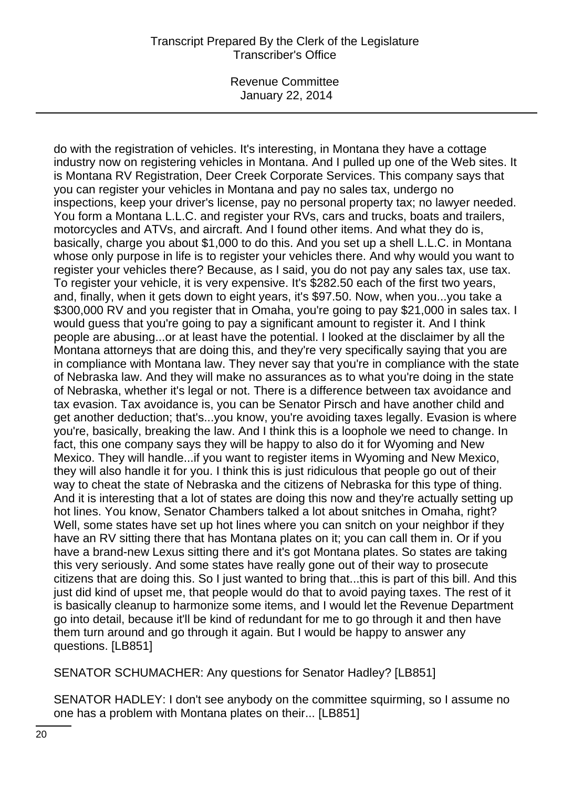## Transcript Prepared By the Clerk of the Legislature Transcriber's Office

Revenue Committee January 22, 2014

do with the registration of vehicles. It's interesting, in Montana they have a cottage industry now on registering vehicles in Montana. And I pulled up one of the Web sites. It is Montana RV Registration, Deer Creek Corporate Services. This company says that you can register your vehicles in Montana and pay no sales tax, undergo no inspections, keep your driver's license, pay no personal property tax; no lawyer needed. You form a Montana L.L.C. and register your RVs, cars and trucks, boats and trailers, motorcycles and ATVs, and aircraft. And I found other items. And what they do is, basically, charge you about \$1,000 to do this. And you set up a shell L.L.C. in Montana whose only purpose in life is to register your vehicles there. And why would you want to register your vehicles there? Because, as I said, you do not pay any sales tax, use tax. To register your vehicle, it is very expensive. It's \$282.50 each of the first two years, and, finally, when it gets down to eight years, it's \$97.50. Now, when you...you take a \$300,000 RV and you register that in Omaha, you're going to pay \$21,000 in sales tax. I would guess that you're going to pay a significant amount to register it. And I think people are abusing...or at least have the potential. I looked at the disclaimer by all the Montana attorneys that are doing this, and they're very specifically saying that you are in compliance with Montana law. They never say that you're in compliance with the state of Nebraska law. And they will make no assurances as to what you're doing in the state of Nebraska, whether it's legal or not. There is a difference between tax avoidance and tax evasion. Tax avoidance is, you can be Senator Pirsch and have another child and get another deduction; that's...you know, you're avoiding taxes legally. Evasion is where you're, basically, breaking the law. And I think this is a loophole we need to change. In fact, this one company says they will be happy to also do it for Wyoming and New Mexico. They will handle...if you want to register items in Wyoming and New Mexico, they will also handle it for you. I think this is just ridiculous that people go out of their way to cheat the state of Nebraska and the citizens of Nebraska for this type of thing. And it is interesting that a lot of states are doing this now and they're actually setting up hot lines. You know, Senator Chambers talked a lot about snitches in Omaha, right? Well, some states have set up hot lines where you can snitch on your neighbor if they have an RV sitting there that has Montana plates on it; you can call them in. Or if you have a brand-new Lexus sitting there and it's got Montana plates. So states are taking this very seriously. And some states have really gone out of their way to prosecute citizens that are doing this. So I just wanted to bring that...this is part of this bill. And this just did kind of upset me, that people would do that to avoid paying taxes. The rest of it is basically cleanup to harmonize some items, and I would let the Revenue Department go into detail, because it'll be kind of redundant for me to go through it and then have them turn around and go through it again. But I would be happy to answer any questions. [LB851]

SENATOR SCHUMACHER: Any questions for Senator Hadley? [LB851]

SENATOR HADLEY: I don't see anybody on the committee squirming, so I assume no one has a problem with Montana plates on their... [LB851]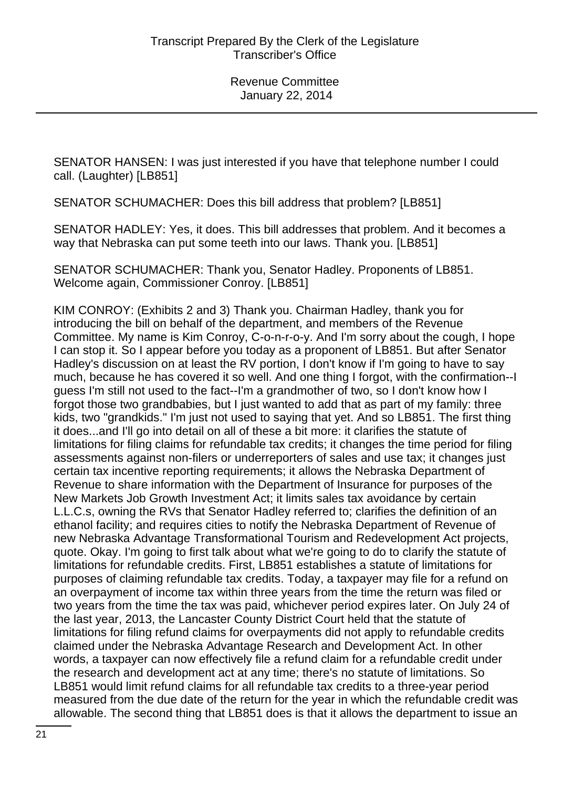SENATOR HANSEN: I was just interested if you have that telephone number I could call. (Laughter) [LB851]

SENATOR SCHUMACHER: Does this bill address that problem? [LB851]

SENATOR HADLEY: Yes, it does. This bill addresses that problem. And it becomes a way that Nebraska can put some teeth into our laws. Thank you. [LB851]

SENATOR SCHUMACHER: Thank you, Senator Hadley. Proponents of LB851. Welcome again, Commissioner Conroy. [LB851]

KIM CONROY: (Exhibits 2 and 3) Thank you. Chairman Hadley, thank you for introducing the bill on behalf of the department, and members of the Revenue Committee. My name is Kim Conroy, C-o-n-r-o-y. And I'm sorry about the cough, I hope I can stop it. So I appear before you today as a proponent of LB851. But after Senator Hadley's discussion on at least the RV portion, I don't know if I'm going to have to say much, because he has covered it so well. And one thing I forgot, with the confirmation--I guess I'm still not used to the fact--I'm a grandmother of two, so I don't know how I forgot those two grandbabies, but I just wanted to add that as part of my family: three kids, two "grandkids." I'm just not used to saying that yet. And so LB851. The first thing it does...and I'll go into detail on all of these a bit more: it clarifies the statute of limitations for filing claims for refundable tax credits; it changes the time period for filing assessments against non-filers or underreporters of sales and use tax; it changes just certain tax incentive reporting requirements; it allows the Nebraska Department of Revenue to share information with the Department of Insurance for purposes of the New Markets Job Growth Investment Act; it limits sales tax avoidance by certain L.L.C.s, owning the RVs that Senator Hadley referred to; clarifies the definition of an ethanol facility; and requires cities to notify the Nebraska Department of Revenue of new Nebraska Advantage Transformational Tourism and Redevelopment Act projects, quote. Okay. I'm going to first talk about what we're going to do to clarify the statute of limitations for refundable credits. First, LB851 establishes a statute of limitations for purposes of claiming refundable tax credits. Today, a taxpayer may file for a refund on an overpayment of income tax within three years from the time the return was filed or two years from the time the tax was paid, whichever period expires later. On July 24 of the last year, 2013, the Lancaster County District Court held that the statute of limitations for filing refund claims for overpayments did not apply to refundable credits claimed under the Nebraska Advantage Research and Development Act. In other words, a taxpayer can now effectively file a refund claim for a refundable credit under the research and development act at any time; there's no statute of limitations. So LB851 would limit refund claims for all refundable tax credits to a three-year period measured from the due date of the return for the year in which the refundable credit was allowable. The second thing that LB851 does is that it allows the department to issue an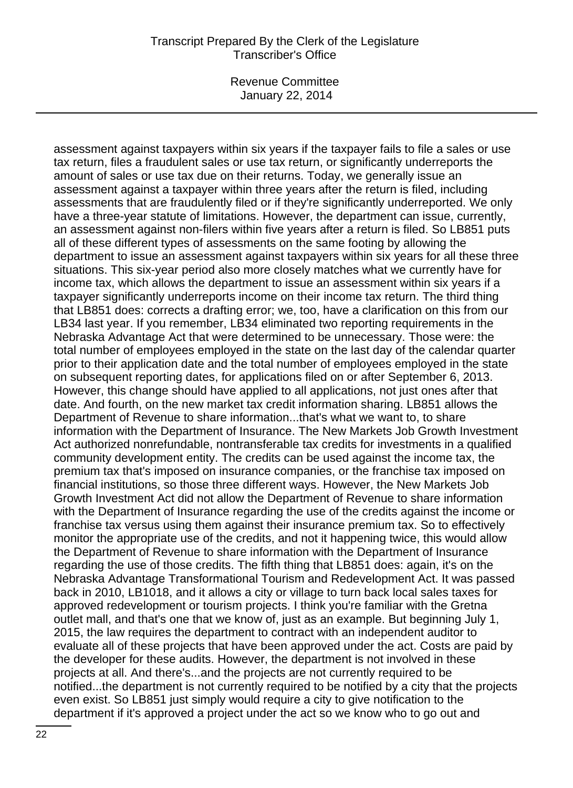### Transcript Prepared By the Clerk of the Legislature Transcriber's Office

Revenue Committee January 22, 2014

assessment against taxpayers within six years if the taxpayer fails to file a sales or use tax return, files a fraudulent sales or use tax return, or significantly underreports the amount of sales or use tax due on their returns. Today, we generally issue an assessment against a taxpayer within three years after the return is filed, including assessments that are fraudulently filed or if they're significantly underreported. We only have a three-year statute of limitations. However, the department can issue, currently, an assessment against non-filers within five years after a return is filed. So LB851 puts all of these different types of assessments on the same footing by allowing the department to issue an assessment against taxpayers within six years for all these three situations. This six-year period also more closely matches what we currently have for income tax, which allows the department to issue an assessment within six years if a taxpayer significantly underreports income on their income tax return. The third thing that LB851 does: corrects a drafting error; we, too, have a clarification on this from our LB34 last year. If you remember, LB34 eliminated two reporting requirements in the Nebraska Advantage Act that were determined to be unnecessary. Those were: the total number of employees employed in the state on the last day of the calendar quarter prior to their application date and the total number of employees employed in the state on subsequent reporting dates, for applications filed on or after September 6, 2013. However, this change should have applied to all applications, not just ones after that date. And fourth, on the new market tax credit information sharing. LB851 allows the Department of Revenue to share information...that's what we want to, to share information with the Department of Insurance. The New Markets Job Growth Investment Act authorized nonrefundable, nontransferable tax credits for investments in a qualified community development entity. The credits can be used against the income tax, the premium tax that's imposed on insurance companies, or the franchise tax imposed on financial institutions, so those three different ways. However, the New Markets Job Growth Investment Act did not allow the Department of Revenue to share information with the Department of Insurance regarding the use of the credits against the income or franchise tax versus using them against their insurance premium tax. So to effectively monitor the appropriate use of the credits, and not it happening twice, this would allow the Department of Revenue to share information with the Department of Insurance regarding the use of those credits. The fifth thing that LB851 does: again, it's on the Nebraska Advantage Transformational Tourism and Redevelopment Act. It was passed back in 2010, LB1018, and it allows a city or village to turn back local sales taxes for approved redevelopment or tourism projects. I think you're familiar with the Gretna outlet mall, and that's one that we know of, just as an example. But beginning July 1, 2015, the law requires the department to contract with an independent auditor to evaluate all of these projects that have been approved under the act. Costs are paid by the developer for these audits. However, the department is not involved in these projects at all. And there's...and the projects are not currently required to be notified...the department is not currently required to be notified by a city that the projects even exist. So LB851 just simply would require a city to give notification to the department if it's approved a project under the act so we know who to go out and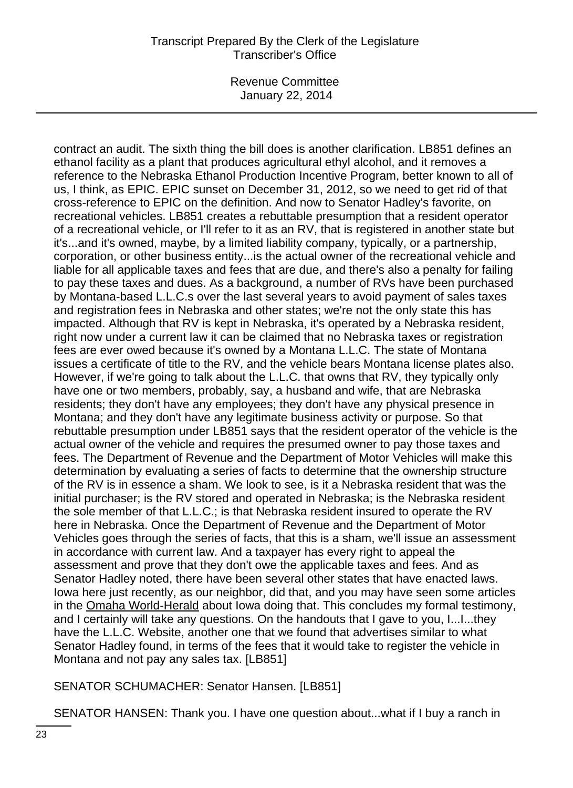# Transcript Prepared By the Clerk of the Legislature Transcriber's Office

Revenue Committee January 22, 2014

contract an audit. The sixth thing the bill does is another clarification. LB851 defines an ethanol facility as a plant that produces agricultural ethyl alcohol, and it removes a reference to the Nebraska Ethanol Production Incentive Program, better known to all of us, I think, as EPIC. EPIC sunset on December 31, 2012, so we need to get rid of that cross-reference to EPIC on the definition. And now to Senator Hadley's favorite, on recreational vehicles. LB851 creates a rebuttable presumption that a resident operator of a recreational vehicle, or I'll refer to it as an RV, that is registered in another state but it's...and it's owned, maybe, by a limited liability company, typically, or a partnership, corporation, or other business entity...is the actual owner of the recreational vehicle and liable for all applicable taxes and fees that are due, and there's also a penalty for failing to pay these taxes and dues. As a background, a number of RVs have been purchased by Montana-based L.L.C.s over the last several years to avoid payment of sales taxes and registration fees in Nebraska and other states; we're not the only state this has impacted. Although that RV is kept in Nebraska, it's operated by a Nebraska resident, right now under a current law it can be claimed that no Nebraska taxes or registration fees are ever owed because it's owned by a Montana L.L.C. The state of Montana issues a certificate of title to the RV, and the vehicle bears Montana license plates also. However, if we're going to talk about the L.L.C. that owns that RV, they typically only have one or two members, probably, say, a husband and wife, that are Nebraska residents; they don't have any employees; they don't have any physical presence in Montana; and they don't have any legitimate business activity or purpose. So that rebuttable presumption under LB851 says that the resident operator of the vehicle is the actual owner of the vehicle and requires the presumed owner to pay those taxes and fees. The Department of Revenue and the Department of Motor Vehicles will make this determination by evaluating a series of facts to determine that the ownership structure of the RV is in essence a sham. We look to see, is it a Nebraska resident that was the initial purchaser; is the RV stored and operated in Nebraska; is the Nebraska resident the sole member of that L.L.C.; is that Nebraska resident insured to operate the RV here in Nebraska. Once the Department of Revenue and the Department of Motor Vehicles goes through the series of facts, that this is a sham, we'll issue an assessment in accordance with current law. And a taxpayer has every right to appeal the assessment and prove that they don't owe the applicable taxes and fees. And as Senator Hadley noted, there have been several other states that have enacted laws. Iowa here just recently, as our neighbor, did that, and you may have seen some articles in the Omaha World-Herald about Iowa doing that. This concludes my formal testimony, and I certainly will take any questions. On the handouts that I gave to you, I...I...they have the L.L.C. Website, another one that we found that advertises similar to what Senator Hadley found, in terms of the fees that it would take to register the vehicle in Montana and not pay any sales tax. [LB851]

SENATOR SCHUMACHER: Senator Hansen. [LB851]

SENATOR HANSEN: Thank you. I have one question about...what if I buy a ranch in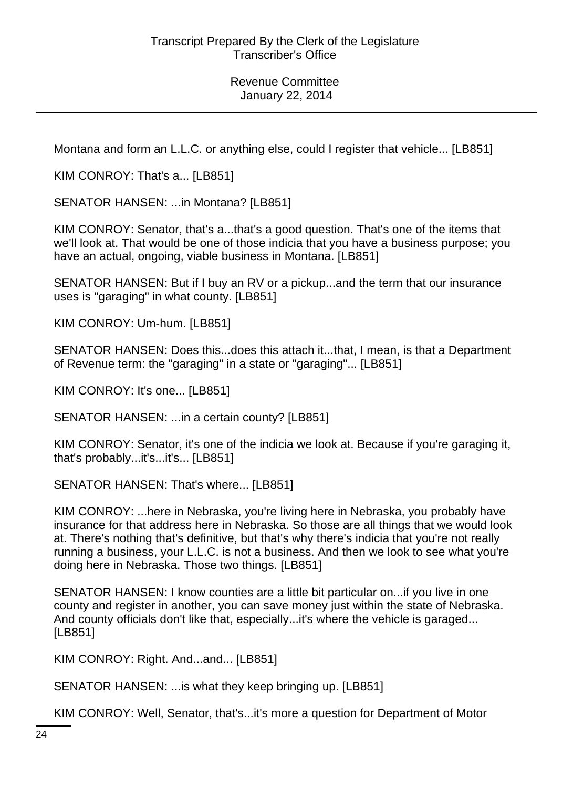Montana and form an L.L.C. or anything else, could I register that vehicle... [LB851]

KIM CONROY: That's a... [LB851]

SENATOR HANSEN: ...in Montana? [LB851]

KIM CONROY: Senator, that's a...that's a good question. That's one of the items that we'll look at. That would be one of those indicia that you have a business purpose; you have an actual, ongoing, viable business in Montana. [LB851]

SENATOR HANSEN: But if I buy an RV or a pickup...and the term that our insurance uses is "garaging" in what county. [LB851]

KIM CONROY: Um-hum. [LB851]

SENATOR HANSEN: Does this...does this attach it...that, I mean, is that a Department of Revenue term: the "garaging" in a state or "garaging"... [LB851]

KIM CONROY: It's one... [LB851]

SENATOR HANSEN: ...in a certain county? [LB851]

KIM CONROY: Senator, it's one of the indicia we look at. Because if you're garaging it, that's probably...it's...it's... [LB851]

SENATOR HANSEN: That's where... [LB851]

KIM CONROY: ...here in Nebraska, you're living here in Nebraska, you probably have insurance for that address here in Nebraska. So those are all things that we would look at. There's nothing that's definitive, but that's why there's indicia that you're not really running a business, your L.L.C. is not a business. And then we look to see what you're doing here in Nebraska. Those two things. [LB851]

SENATOR HANSEN: I know counties are a little bit particular on...if you live in one county and register in another, you can save money just within the state of Nebraska. And county officials don't like that, especially...it's where the vehicle is garaged... [LB851]

KIM CONROY: Right. And...and... [LB851]

SENATOR HANSEN: ...is what they keep bringing up. [LB851]

KIM CONROY: Well, Senator, that's...it's more a question for Department of Motor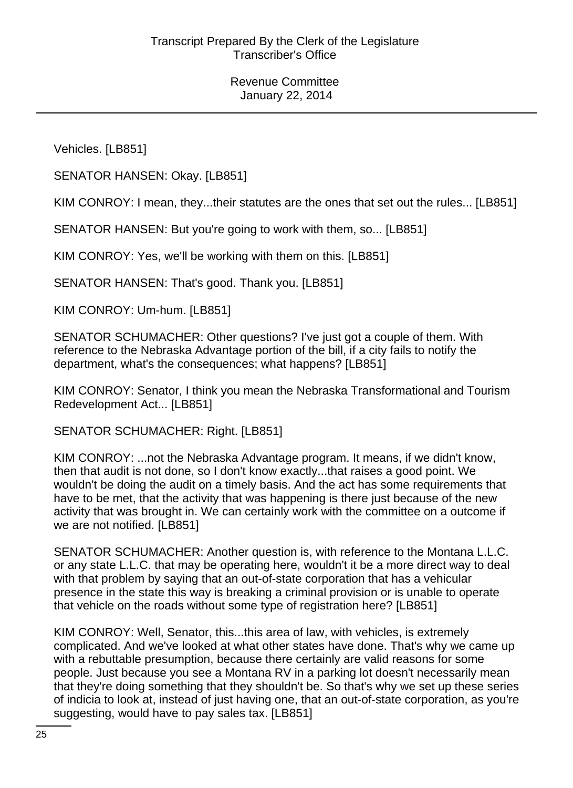Vehicles. [LB851]

SENATOR HANSEN: Okay. [LB851]

KIM CONROY: I mean, they...their statutes are the ones that set out the rules... [LB851]

SENATOR HANSEN: But you're going to work with them, so... [LB851]

KIM CONROY: Yes, we'll be working with them on this. [LB851]

SENATOR HANSEN: That's good. Thank you. [LB851]

KIM CONROY: Um-hum. [LB851]

SENATOR SCHUMACHER: Other questions? I've just got a couple of them. With reference to the Nebraska Advantage portion of the bill, if a city fails to notify the department, what's the consequences; what happens? [LB851]

KIM CONROY: Senator, I think you mean the Nebraska Transformational and Tourism Redevelopment Act... [LB851]

SENATOR SCHUMACHER: Right. [LB851]

KIM CONROY: ...not the Nebraska Advantage program. It means, if we didn't know, then that audit is not done, so I don't know exactly...that raises a good point. We wouldn't be doing the audit on a timely basis. And the act has some requirements that have to be met, that the activity that was happening is there just because of the new activity that was brought in. We can certainly work with the committee on a outcome if we are not notified. [LB851]

SENATOR SCHUMACHER: Another question is, with reference to the Montana L.L.C. or any state L.L.C. that may be operating here, wouldn't it be a more direct way to deal with that problem by saying that an out-of-state corporation that has a vehicular presence in the state this way is breaking a criminal provision or is unable to operate that vehicle on the roads without some type of registration here? [LB851]

KIM CONROY: Well, Senator, this...this area of law, with vehicles, is extremely complicated. And we've looked at what other states have done. That's why we came up with a rebuttable presumption, because there certainly are valid reasons for some people. Just because you see a Montana RV in a parking lot doesn't necessarily mean that they're doing something that they shouldn't be. So that's why we set up these series of indicia to look at, instead of just having one, that an out-of-state corporation, as you're suggesting, would have to pay sales tax. [LB851]